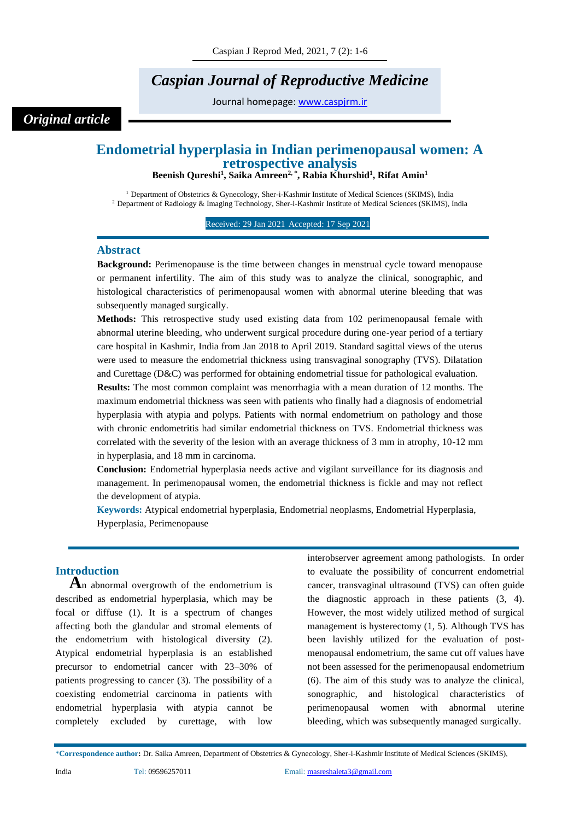# *Caspian Journal of Reproductive Medicine*

Journal homepage: [www.caspjrm.ir](http://www.caspjrm.ir/)

## *Original article*

## **Endometrial hyperplasia in Indian perimenopausal women: A retrospective analysis**

**Beenish Qureshi<sup>1</sup> , Saika Amreen2, \* , Rabia Khurshid<sup>1</sup> , Rifat Amin<sup>1</sup>**

<sup>1</sup> Department of Obstetrics & Gynecology, Sher-i-Kashmir Institute of Medical Sciences (SKIMS), India <sup>2</sup> Department of Radiology & Imaging Technology, Sher-i-Kashmir Institute of Medical Sciences (SKIMS), India

Received: 29 Jan 2021 Accepted: 17 Sep 2021

### **Abstract**

**Background:** Perimenopause is the time between changes in menstrual cycle toward menopause or permanent infertility. The aim of this study was to analyze the clinical, sonographic, and histological characteristics of perimenopausal women with abnormal uterine bleeding that was subsequently managed surgically.

**Methods:** This retrospective study used existing data from 102 perimenopausal female with abnormal uterine bleeding, who underwent surgical procedure during one-year period of a tertiary care hospital in Kashmir, India from Jan 2018 to April 2019. Standard sagittal views of the uterus were used to measure the endometrial thickness using transvaginal sonography (TVS). Dilatation and Curettage (D&C) was performed for obtaining endometrial tissue for pathological evaluation.

**Results:** The most common complaint was menorrhagia with a mean duration of 12 months. The maximum endometrial thickness was seen with patients who finally had a diagnosis of endometrial hyperplasia with atypia and polyps. Patients with normal endometrium on pathology and those with chronic endometritis had similar endometrial thickness on TVS. Endometrial thickness was correlated with the severity of the lesion with an average thickness of 3 mm in atrophy, 10-12 mm in hyperplasia, and 18 mm in carcinoma.

**Conclusion:** Endometrial hyperplasia needs active and vigilant surveillance for its diagnosis and management. In perimenopausal women, the endometrial thickness is fickle and may not reflect the development of atypia.

**Keywords:** Atypical endometrial hyperplasia, Endometrial neoplasms, Endometrial Hyperplasia, Hyperplasia, Perimenopause

## **Introduction**

**A**n abnormal overgrowth of the endometrium is described as endometrial hyperplasia, which may be focal or diffuse (1). It is a spectrum of changes affecting both the glandular and stromal elements of the endometrium with histological diversity (2). Atypical endometrial hyperplasia is an established precursor to endometrial cancer with 23–30% of patients progressing to cancer (3). The possibility of a coexisting endometrial carcinoma in patients with endometrial hyperplasia with atypia cannot be completely excluded by curettage, with low

interobserver agreement among pathologists. In order to evaluate the possibility of concurrent endometrial cancer, transvaginal ultrasound (TVS) can often guide the diagnostic approach in these patients (3, 4). However, the most widely utilized method of surgical management is hysterectomy (1, 5). Although TVS has been lavishly utilized for the evaluation of postmenopausal endometrium, the same cut off values have not been assessed for the perimenopausal endometrium (6). The aim of this study was to analyze the clinical, sonographic, and histological characteristics of perimenopausal women with abnormal uterine bleeding, which was subsequently managed surgically.

<sup>\*</sup>**Correspondence author:** Dr. Saika Amreen, Department of Obstetrics & Gynecology, Sher-i-Kashmir Institute of Medical Sciences (SKIMS),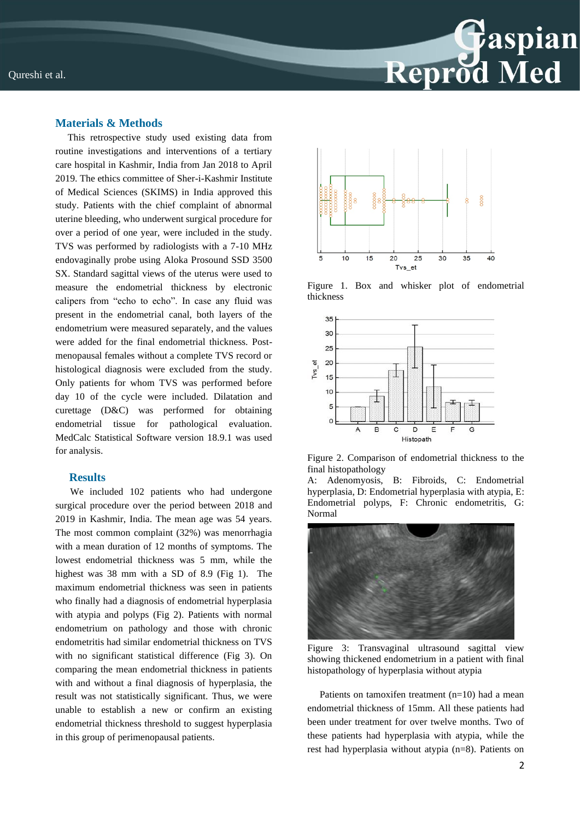

## **Materials & Methods**

 This retrospective study used existing data from routine investigations and interventions of a tertiary care hospital in Kashmir, India from Jan 2018 to April 2019. The ethics committee of Sher-i-Kashmir Institute of Medical Sciences (SKIMS) in India approved this study. Patients with the chief complaint of abnormal uterine bleeding, who underwent surgical procedure for over a period of one year, were included in the study. TVS was performed by radiologists with a 7-10 MHz endovaginally probe using Aloka Prosound SSD 3500 SX. Standard sagittal views of the uterus were used to measure the endometrial thickness by electronic calipers from "echo to echo". In case any fluid was present in the endometrial canal, both layers of the endometrium were measured separately, and the values were added for the final endometrial thickness. Postmenopausal females without a complete TVS record or histological diagnosis were excluded from the study. Only patients for whom TVS was performed before day 10 of the cycle were included. Dilatation and curettage (D&C) was performed for obtaining endometrial tissue for pathological evaluation. MedCalc Statistical Software version 18.9.1 was used for analysis.

#### **Results**

 We included 102 patients who had undergone surgical procedure over the period between 2018 and 2019 in Kashmir, India. The mean age was 54 years. The most common complaint (32%) was menorrhagia with a mean duration of 12 months of symptoms. The lowest endometrial thickness was 5 mm, while the highest was 38 mm with a SD of 8.9 (Fig 1). The maximum endometrial thickness was seen in patients who finally had a diagnosis of endometrial hyperplasia with atypia and polyps (Fig 2). Patients with normal endometrium on pathology and those with chronic endometritis had similar endometrial thickness on TVS with no significant statistical difference (Fig 3). On comparing the mean endometrial thickness in patients with and without a final diagnosis of hyperplasia, the result was not statistically significant. Thus, we were unable to establish a new or confirm an existing endometrial thickness threshold to suggest hyperplasia in this group of perimenopausal patients.



Figure 1. Box and whisker plot of endometrial thickness



Figure 2. Comparison of endometrial thickness to the final histopathology

Adenomyosis, B: Fibroids, C: Endometrial hyperplasia, D: Endometrial hyperplasia with atypia, E: Endometrial polyps, F: Chronic endometritis, G: Normal



Figure 3: Transvaginal ultrasound sagittal view showing thickened endometrium in a patient with final histopathology of hyperplasia without atypia

 Patients on tamoxifen treatment (n=10) had a mean endometrial thickness of 15mm. All these patients had been under treatment for over twelve months. Two of these patients had hyperplasia with atypia, while the rest had hyperplasia without atypia (n=8). Patients on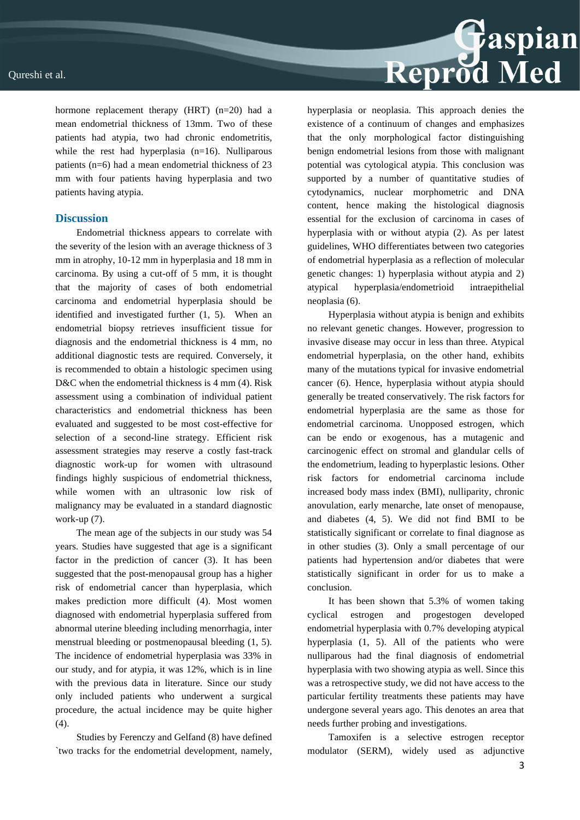hormone replacement therapy (HRT) (n=20) had a mean endometrial thickness of 13mm. Two of these patients had atypia, two had chronic endometritis, while the rest had hyperplasia  $(n=16)$ . Nulliparous patients (n=6) had a mean endometrial thickness of 23 mm with four patients having hyperplasia and two patients having atypia.

## **Discussion**

Endometrial thickness appears to correlate with the severity of the lesion with an average thickness of 3 mm in atrophy, 10-12 mm in hyperplasia and 18 mm in carcinoma. By using a cut-off of 5 mm, it is thought that the majority of cases of both endometrial carcinoma and endometrial hyperplasia should be identified and investigated further (1, 5). When an endometrial biopsy retrieves insufficient tissue for diagnosis and the endometrial thickness is 4 mm, no additional diagnostic tests are required. Conversely, it is recommended to obtain a histologic specimen using D&C when the endometrial thickness is 4 mm (4). Risk assessment using a combination of individual patient characteristics and endometrial thickness has been evaluated and suggested to be most cost-effective for selection of a second-line strategy. Efficient risk assessment strategies may reserve a costly fast-track diagnostic work-up for women with ultrasound findings highly suspicious of endometrial thickness, while women with an ultrasonic low risk of malignancy may be evaluated in a standard diagnostic work-up (7).

The mean age of the subjects in our study was 54 years. Studies have suggested that age is a significant factor in the prediction of cancer (3). It has been suggested that the post-menopausal group has a higher risk of endometrial cancer than hyperplasia, which makes prediction more difficult (4). Most women diagnosed with endometrial hyperplasia suffered from abnormal uterine bleeding including menorrhagia, inter menstrual bleeding or postmenopausal bleeding (1, 5). The incidence of endometrial hyperplasia was 33% in our study, and for atypia, it was 12%, which is in line with the previous data in literature. Since our study only included patients who underwent a surgical procedure, the actual incidence may be quite higher (4).

Studies by Ferenczy and Gelfand (8) have defined `two tracks for the endometrial development, namely,

hyperplasia or neoplasia. This approach denies the existence of a continuum of changes and emphasizes that the only morphological factor distinguishing benign endometrial lesions from those with malignant potential was cytological atypia. This conclusion was supported by a number of quantitative studies of cytodynamics, nuclear morphometric and DNA content, hence making the histological diagnosis essential for the exclusion of carcinoma in cases of hyperplasia with or without atypia (2). As per latest guidelines, WHO differentiates between two categories of endometrial hyperplasia as a reflection of molecular genetic changes: 1) hyperplasia without atypia and 2) atypical hyperplasia/endometrioid intraepithelial neoplasia (6).

Reprod Med

Hyperplasia without atypia is benign and exhibits no relevant genetic changes. However, progression to invasive disease may occur in less than three. Atypical endometrial hyperplasia, on the other hand, exhibits many of the mutations typical for invasive endometrial cancer (6). Hence, hyperplasia without atypia should generally be treated conservatively. The risk factors for endometrial hyperplasia are the same as those for endometrial carcinoma. Unopposed estrogen, which can be endo or exogenous, has a mutagenic and carcinogenic effect on stromal and glandular cells of the endometrium, leading to hyperplastic lesions. Other risk factors for endometrial carcinoma include increased body mass index (BMI), nulliparity, chronic anovulation, early menarche, late onset of menopause, and diabetes (4, 5). We did not find BMI to be statistically significant or correlate to final diagnose as in other studies (3). Only a small percentage of our patients had hypertension and/or diabetes that were statistically significant in order for us to make a conclusion.

It has been shown that 5.3% of women taking cyclical estrogen and progestogen developed endometrial hyperplasia with 0.7% developing atypical hyperplasia (1, 5). All of the patients who were nulliparous had the final diagnosis of endometrial hyperplasia with two showing atypia as well. Since this was a retrospective study, we did not have access to the particular fertility treatments these patients may have undergone several years ago. This denotes an area that needs further probing and investigations.

Tamoxifen is a selective estrogen receptor modulator (SERM), widely used as adjunctive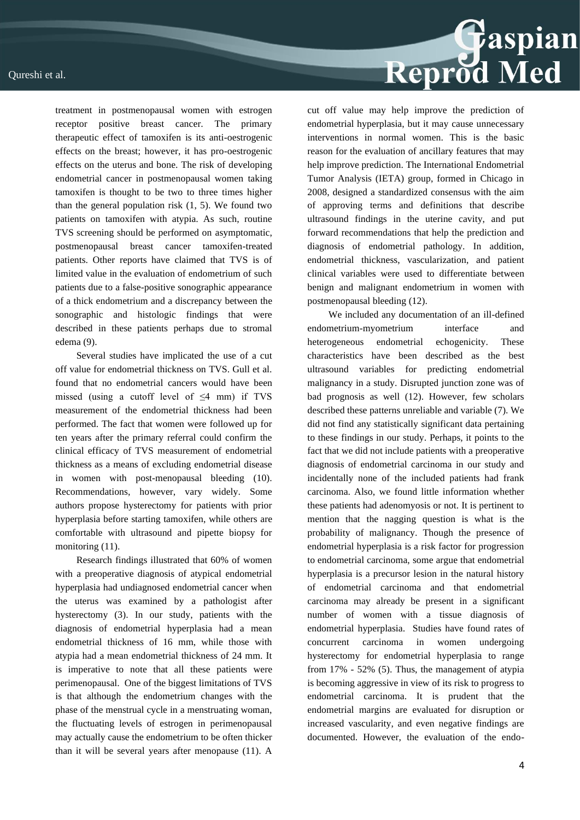### Qureshi et al.



treatment in postmenopausal women with estrogen receptor positive breast cancer. The primary therapeutic effect of tamoxifen is its anti-oestrogenic effects on the breast; however, it has pro-oestrogenic effects on the uterus and bone. The risk of developing endometrial cancer in postmenopausal women taking tamoxifen is thought to be two to three times higher than the general population risk  $(1, 5)$ . We found two patients on tamoxifen with atypia. As such, routine TVS screening should be performed on asymptomatic, postmenopausal breast cancer tamoxifen-treated patients. Other reports have claimed that TVS is of limited value in the evaluation of endometrium of such patients due to a false-positive sonographic appearance of a thick endometrium and a discrepancy between the sonographic and histologic findings that were described in these patients perhaps due to stromal edema (9).

Several studies have implicated the use of a cut off value for endometrial thickness on TVS. Gull et al. found that no endometrial cancers would have been missed (using a cutoff level of  $\leq 4$  mm) if TVS measurement of the endometrial thickness had been performed. The fact that women were followed up for ten years after the primary referral could confirm the clinical efficacy of TVS measurement of endometrial thickness as a means of excluding endometrial disease in women with post-menopausal bleeding (10). Recommendations, however, vary widely. Some authors propose hysterectomy for patients with prior hyperplasia before starting tamoxifen, while others are comfortable with ultrasound and pipette biopsy for monitoring (11).

Research findings illustrated that 60% of women with a preoperative diagnosis of atypical endometrial hyperplasia had undiagnosed endometrial cancer when the uterus was examined by a pathologist after hysterectomy (3). In our study, patients with the diagnosis of endometrial hyperplasia had a mean endometrial thickness of 16 mm, while those with atypia had a mean endometrial thickness of 24 mm. It is imperative to note that all these patients were perimenopausal. One of the biggest limitations of TVS is that although the endometrium changes with the phase of the menstrual cycle in a menstruating woman, the fluctuating levels of estrogen in perimenopausal may actually cause the endometrium to be often thicker than it will be several years after menopause (11). A

cut off value may help improve the prediction of endometrial hyperplasia, but it may cause unnecessary interventions in normal women. This is the basic reason for the evaluation of ancillary features that may help improve prediction. The International Endometrial Tumor Analysis (IETA) group, formed in Chicago in 2008, designed a standardized consensus with the aim of approving terms and definitions that describe ultrasound findings in the uterine cavity, and put forward recommendations that help the prediction and diagnosis of endometrial pathology. In addition, endometrial thickness, vascularization, and patient clinical variables were used to differentiate between benign and malignant endometrium in women with postmenopausal bleeding (12).

We included any documentation of an ill-defined endometrium-myometrium interface and heterogeneous endometrial echogenicity. These characteristics have been described as the best ultrasound variables for predicting endometrial malignancy in a study. Disrupted junction zone was of bad prognosis as well (12). However, few scholars described these patterns unreliable and variable (7). We did not find any statistically significant data pertaining to these findings in our study. Perhaps, it points to the fact that we did not include patients with a preoperative diagnosis of endometrial carcinoma in our study and incidentally none of the included patients had frank carcinoma. Also, we found little information whether these patients had adenomyosis or not. It is pertinent to mention that the nagging question is what is the probability of malignancy. Though the presence of endometrial hyperplasia is a risk factor for progression to endometrial carcinoma, some argue that endometrial hyperplasia is a precursor lesion in the natural history of endometrial carcinoma and that endometrial carcinoma may already be present in a significant number of women with a tissue diagnosis of endometrial hyperplasia. Studies have found rates of concurrent carcinoma in women undergoing hysterectomy for endometrial hyperplasia to range from 17% - 52% (5). Thus, the management of atypia is becoming aggressive in view of its risk to progress to endometrial carcinoma. It is prudent that the endometrial margins are evaluated for disruption or increased vascularity, and even negative findings are documented. However, the evaluation of the endo-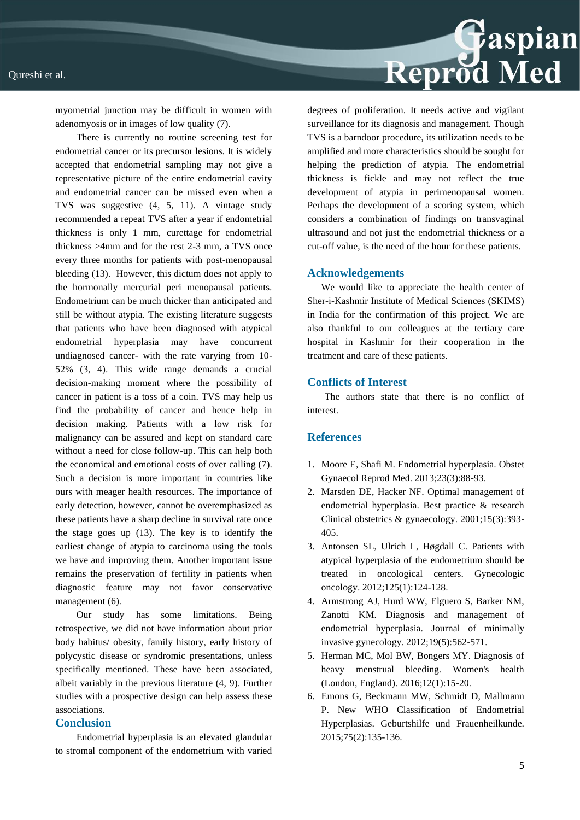

myometrial junction may be difficult in women with adenomyosis or in images of low quality (7).

There is currently no routine screening test for endometrial cancer or its precursor lesions. It is widely accepted that endometrial sampling may not give a representative picture of the entire endometrial cavity and endometrial cancer can be missed even when a TVS was suggestive (4, 5, 11). A vintage study recommended a repeat TVS after a year if endometrial thickness is only 1 mm, curettage for endometrial thickness >4mm and for the rest 2-3 mm, a TVS once every three months for patients with post-menopausal bleeding (13). However, this dictum does not apply to the hormonally mercurial peri menopausal patients. Endometrium can be much thicker than anticipated and still be without atypia. The existing literature suggests that patients who have been diagnosed with atypical endometrial hyperplasia may have concurrent undiagnosed cancer- with the rate varying from 10- 52% (3, 4). This wide range demands a crucial decision-making moment where the possibility of cancer in patient is a toss of a coin. TVS may help us find the probability of cancer and hence help in decision making. Patients with a low risk for malignancy can be assured and kept on standard care without a need for close follow-up. This can help both the economical and emotional costs of over calling (7). Such a decision is more important in countries like ours with meager health resources. The importance of early detection, however, cannot be overemphasized as these patients have a sharp decline in survival rate once the stage goes up (13). The key is to identify the earliest change of atypia to carcinoma using the tools we have and improving them. Another important issue remains the preservation of fertility in patients when diagnostic feature may not favor conservative management (6).

Our study has some limitations. Being retrospective, we did not have information about prior body habitus/ obesity, family history, early history of polycystic disease or syndromic presentations, unless specifically mentioned. These have been associated, albeit variably in the previous literature (4, 9). Further studies with a prospective design can help assess these associations.

### **Conclusion**

Endometrial hyperplasia is an elevated glandular to stromal component of the endometrium with varied degrees of proliferation. It needs active and vigilant surveillance for its diagnosis and management. Though TVS is a barndoor procedure, its utilization needs to be amplified and more characteristics should be sought for helping the prediction of atypia. The endometrial thickness is fickle and may not reflect the true development of atypia in perimenopausal women. Perhaps the development of a scoring system, which considers a combination of findings on transvaginal ultrasound and not just the endometrial thickness or a cut-off value, is the need of the hour for these patients.

#### **Acknowledgements**

We would like to appreciate the health center of Sher-i-Kashmir Institute of Medical Sciences (SKIMS) in India for the confirmation of this project. We are also thankful to our colleagues at the tertiary care hospital in Kashmir for their cooperation in the treatment and care of these patients.

## **Conflicts of Interest**

 The authors state that there is no conflict of interest.

### **References**

- 1. Moore E, Shafi M. Endometrial hyperplasia. Obstet Gynaecol Reprod Med. 2013;23(3):88-93.
- 2. Marsden DE, Hacker NF. Optimal management of endometrial hyperplasia. Best practice & research Clinical obstetrics & gynaecology. 2001;15(3):393- 405.
- 3. Antonsen SL, Ulrich L, Høgdall C. Patients with atypical hyperplasia of the endometrium should be treated in oncological centers. Gynecologic oncology. 2012;125(1):124-128.
- 4. Armstrong AJ, Hurd WW, Elguero S, Barker NM, Zanotti KM. Diagnosis and management of endometrial hyperplasia. Journal of minimally invasive gynecology. 2012;19(5):562-571.
- 5. Herman MC, Mol BW, Bongers MY. Diagnosis of heavy menstrual bleeding. Women's health (London, England). 2016;12(1):15-20.
- 6. Emons G, Beckmann MW, Schmidt D, Mallmann P. New WHO Classification of Endometrial Hyperplasias. Geburtshilfe und Frauenheilkunde. 2015;75(2):135-136.